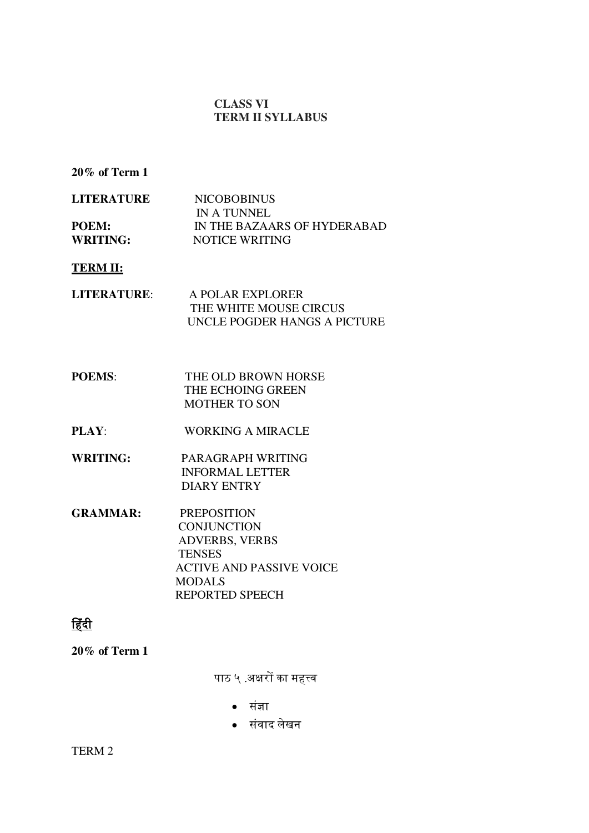#### **CLASS VI TERM II SYLLABUS**

**20% of Term 1** 

| <b>LITERATURE</b> | <b>NICOBOBINUS</b>          |
|-------------------|-----------------------------|
|                   | IN A TUNNEL                 |
| POEM:             | IN THE BAZAARS OF HYDERABAD |
| <b>WRITING:</b>   | NOTICE WRITING              |

**TERM II:** 

| LITERATURE: | A POLAR EXPLORER             |
|-------------|------------------------------|
|             | THE WHITE MOUSE CIRCUS       |
|             | UNCLE POGDER HANGS A PICTURE |

- **POEMS:** THE OLD BROWN HORSE THE ECHOING GREEN MOTHER TO SON
- **PLAY**: WORKING A MIRACLE
- **WRITING:** PARAGRAPH WRITING INFORMAL LETTER DIARY ENTRY
- **GRAMMAR:** PREPOSITION **CONJUNCTION**  ADVERBS, VERBS **TENSES**  ACTIVE AND PASSIVE VOICE MODALS REPORTED SPEECH

# हिंदी

**20% of Term 1** 

पाठ ५ .अक्षरों का महत्त्व

- सिंज्ञा
- सिंवाद लेखन

TERM 2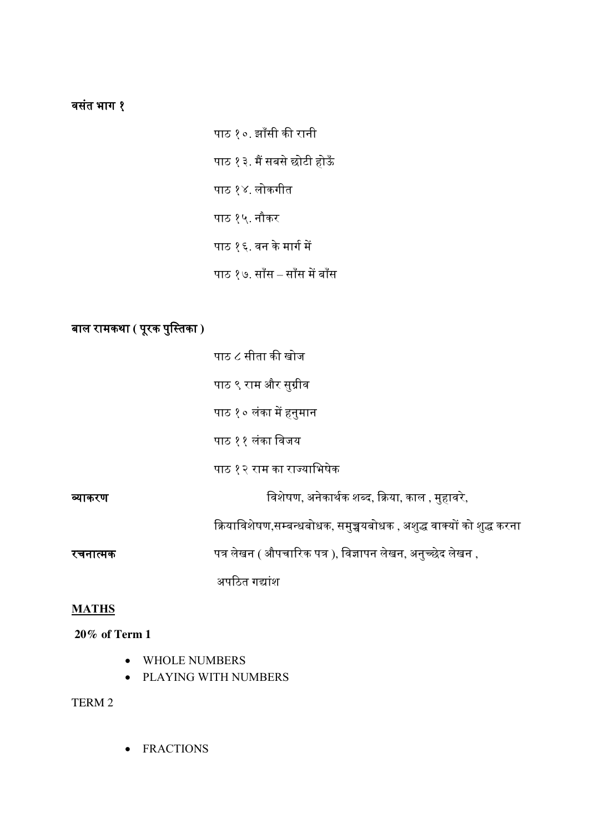# वसतिं भाग १

पाठ १०. झााँसी की रानी पाठ १३. मैं सबसे छोटी होऊँ पाठ १४. लोकगीत पाठ १५. नौकर पाठ १६. वन के मार्ग में पाठ १७. साँस – साँस में बाँस

# बाल रामकथा **(** परूक पस्ुततका **)**

|          | पाठ ८ सीता की खोज                                                    |
|----------|----------------------------------------------------------------------|
|          | पाठ ९ राम और सुग्रीव                                                 |
|          | पाठ १० लंका में हनुमान                                               |
|          | पाठ ११ लंका विजय                                                     |
|          | पाठ १२ राम का राज्याभिषेक                                            |
| व्याकरण  | विशेषण, अनेकार्थक शब्द, क्रिया, काल , मुहावरे,                       |
|          | क्रियाविशेषण,सम्बन्धबोधक, समुच्चयबोधक , अशुद्ध वाक्यों को शुद्ध करना |
| रचनात्मक | पत्र लेखन ( औपचारिक पत्र ), विज्ञापन लेखन, अनुच्छेद लेखन ,           |
|          | अपठित गद्यांश                                                        |

#### **MATHS**

## **20% of Term 1**

- WHOLE NUMBERS
- PLAYING WITH NUMBERS

## TERM 2

• FRACTIONS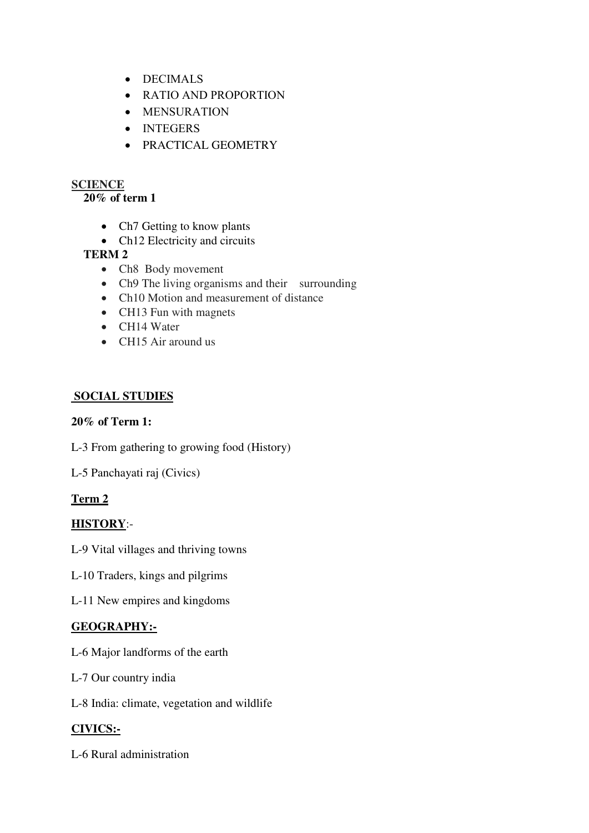- DECIMALS
- RATIO AND PROPORTION
- MENSURATION
- INTEGERS
- PRACTICAL GEOMETRY

## **SCIENCE**

### **20% of term 1**

- Ch7 Getting to know plants
- Ch12 Electricity and circuits

## **TERM 2**

- Ch8 Body movement
- Ch9 The living organisms and their surrounding
- Ch10 Motion and measurement of distance
- CH13 Fun with magnets
- CH14 Water
- CH15 Air around us

## **SOCIAL STUDIES**

#### **20% of Term 1:**

L-3 From gathering to growing food (History)

L-5 Panchayati raj (Civics)

## **Term 2**

## **HISTORY**:-

L-9 Vital villages and thriving towns

L-10 Traders, kings and pilgrims

L-11 New empires and kingdoms

## **GEOGRAPHY:-**

L-6 Major landforms of the earth

- L-7 Our country india
- L-8 India: climate, vegetation and wildlife

## **CIVICS:-**

L-6 Rural administration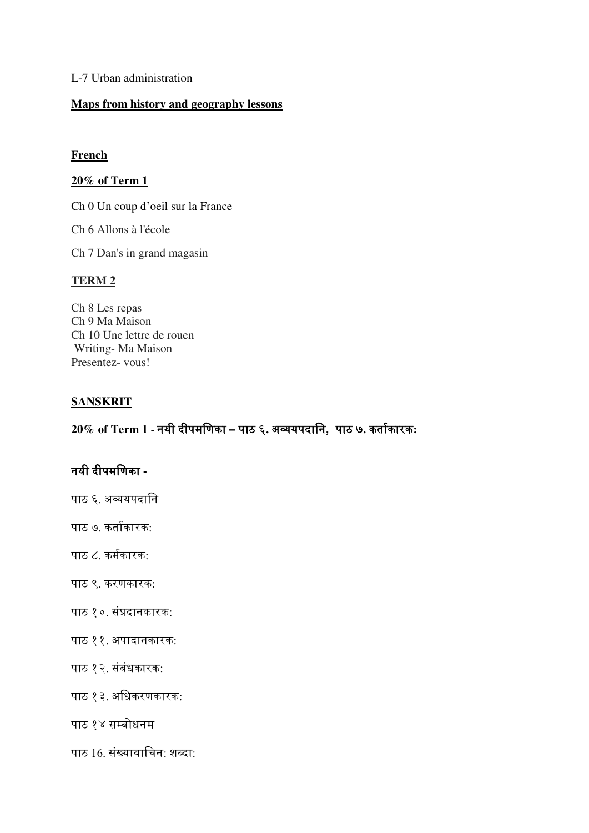#### L-7 Urban administration

#### **Maps from history and geography lessons**

#### **French**

#### **20% of Term 1**

Ch 0 Un coup d'oeil sur la France

Ch 6 Allons à l'école

Ch 7 Dan's in grand magasin

#### **TERM 2**

Ch 8 Les repas Ch 9 Ma Maison Ch 10 Une lettre de rouen Writing- Ma Maison Presentez- vous!

#### **SANSKRIT**

**20% of Term 1** - नयी दीपमस्णका **–** पाठ ६**.** अव्ययपदास्न**,** पाठ ७**.** कताकग ारक**:**

# नयी दीपमस्णका **-**

- पाठ ६. अव्ययपदास्न
- पाठ ७. कतागकारक:
- पाठ ८. कर्मकारक:
- पाठ ९. करणकारक:
- पाठ १०. सिंप्रदानकारक:
- पाठ ११. अपादानकारक:
- पाठ १२. सिंबिंधकारक:
- पाठ १३. अस्धकरणकारक:
- पाठ १४ सम्बोधनम
- पाठ 16. सिंख्यावास्चन: शब्दा: